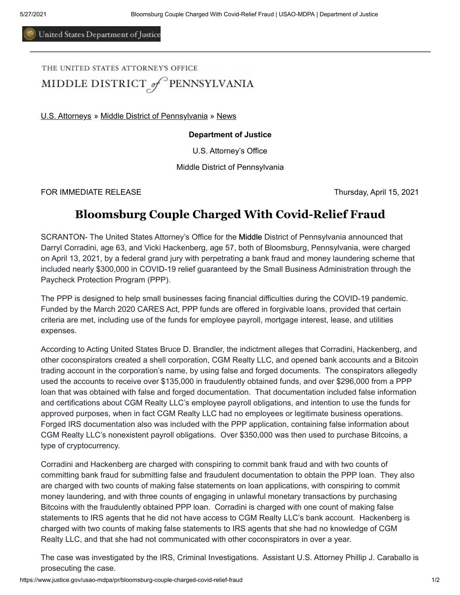United States Department of Justice

THE UNITED STATES ATTORNEY'S OFFICE MIDDLE DISTRICT of PENNSYLVANIA

[U.S. Attorneys](https://www.justice.gov/usao) » [Middle District of Pennsylvania](https://www.justice.gov/usao-mdpa) » [News](https://www.justice.gov/usao-mdpa/pr)

## **Department of Justice**

U.S. Attorney's Office

Middle District of Pennsylvania

FOR IMMEDIATE RELEASE Thursday, April 15, 2021

## **Bloomsburg Couple Charged With Covid-Relief Fraud**

SCRANTON- The United States Attorney's Office for the Middle District of Pennsylvania announced that Darryl Corradini, age 63, and Vicki Hackenberg, age 57, both of Bloomsburg, Pennsylvania, were charged on April 13, 2021, by a federal grand jury with perpetrating a bank fraud and money laundering scheme that included nearly \$300,000 in COVID-19 relief guaranteed by the Small Business Administration through the Paycheck Protection Program (PPP).

The PPP is designed to help small businesses facing financial difficulties during the COVID-19 pandemic. Funded by the March 2020 CARES Act, PPP funds are offered in forgivable loans, provided that certain criteria are met, including use of the funds for employee payroll, mortgage interest, lease, and utilities expenses.

According to Acting United States Bruce D. Brandler, the indictment alleges that Corradini, Hackenberg, and other coconspirators created a shell corporation, CGM Realty LLC, and opened bank accounts and a Bitcoin trading account in the corporation's name, by using false and forged documents. The conspirators allegedly used the accounts to receive over \$135,000 in fraudulently obtained funds, and over \$296,000 from a PPP loan that was obtained with false and forged documentation. That documentation included false information and certifications about CGM Realty LLC's employee payroll obligations, and intention to use the funds for approved purposes, when in fact CGM Realty LLC had no employees or legitimate business operations. Forged IRS documentation also was included with the PPP application, containing false information about CGM Realty LLC's nonexistent payroll obligations. Over \$350,000 was then used to purchase Bitcoins, a type of cryptocurrency.

Corradini and Hackenberg are charged with conspiring to commit bank fraud and with two counts of committing bank fraud for submitting false and fraudulent documentation to obtain the PPP loan. They also are charged with two counts of making false statements on loan applications, with conspiring to commit money laundering, and with three counts of engaging in unlawful monetary transactions by purchasing Bitcoins with the fraudulently obtained PPP loan. Corradini is charged with one count of making false statements to IRS agents that he did not have access to CGM Realty LLC's bank account. Hackenberg is charged with two counts of making false statements to IRS agents that she had no knowledge of CGM Realty LLC, and that she had not communicated with other coconspirators in over a year.

The case was investigated by the IRS, Criminal Investigations. Assistant U.S. Attorney Phillip J. Caraballo is prosecuting the case.